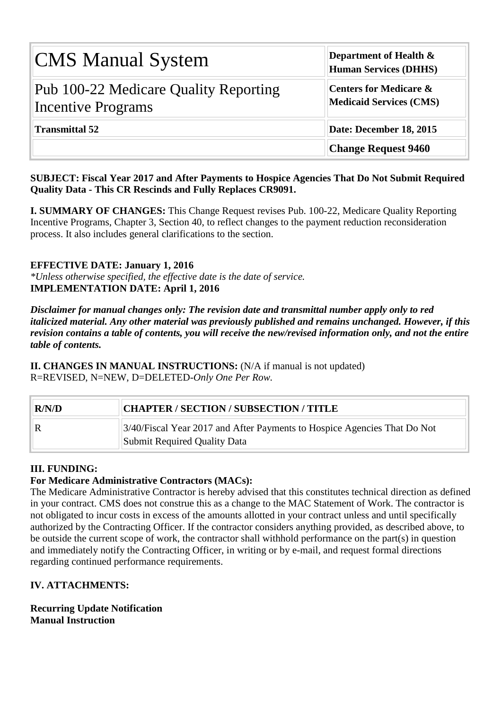| <b>CMS Manual System</b>                                           | Department of Health &<br><b>Human Services (DHHS)</b>              |  |  |  |  |  |
|--------------------------------------------------------------------|---------------------------------------------------------------------|--|--|--|--|--|
| Pub 100-22 Medicare Quality Reporting<br><b>Incentive Programs</b> | <b>Centers for Medicare &amp;</b><br><b>Medicaid Services (CMS)</b> |  |  |  |  |  |
| <b>Transmittal 52</b>                                              | Date: December 18, 2015                                             |  |  |  |  |  |
|                                                                    | <b>Change Request 9460</b>                                          |  |  |  |  |  |

#### **SUBJECT: Fiscal Year 2017 and After Payments to Hospice Agencies That Do Not Submit Required Quality Data - This CR Rescinds and Fully Replaces CR9091.**

**I. SUMMARY OF CHANGES:** This Change Request revises Pub. 100-22, Medicare Quality Reporting Incentive Programs, Chapter 3, Section 40, to reflect changes to the payment reduction reconsideration process. It also includes general clarifications to the section.

#### **EFFECTIVE DATE: January 1, 2016**

*\*Unless otherwise specified, the effective date is the date of service.* **IMPLEMENTATION DATE: April 1, 2016**

*Disclaimer for manual changes only: The revision date and transmittal number apply only to red italicized material. Any other material was previously published and remains unchanged. However, if this revision contains a table of contents, you will receive the new/revised information only, and not the entire table of contents.*

**II. CHANGES IN MANUAL INSTRUCTIONS:** (N/A if manual is not updated) R=REVISED, N=NEW, D=DELETED-*Only One Per Row.*

| R/N/D | CHAPTER / SECTION / SUBSECTION / TITLE                                                                   |
|-------|----------------------------------------------------------------------------------------------------------|
|       | 3/40/Fiscal Year 2017 and After Payments to Hospice Agencies That Do Not<br>Submit Required Quality Data |

#### **III. FUNDING:**

#### **For Medicare Administrative Contractors (MACs):**

The Medicare Administrative Contractor is hereby advised that this constitutes technical direction as defined in your contract. CMS does not construe this as a change to the MAC Statement of Work. The contractor is not obligated to incur costs in excess of the amounts allotted in your contract unless and until specifically authorized by the Contracting Officer. If the contractor considers anything provided, as described above, to be outside the current scope of work, the contractor shall withhold performance on the part(s) in question and immediately notify the Contracting Officer, in writing or by e-mail, and request formal directions regarding continued performance requirements.

#### **IV. ATTACHMENTS:**

**Recurring Update Notification Manual Instruction**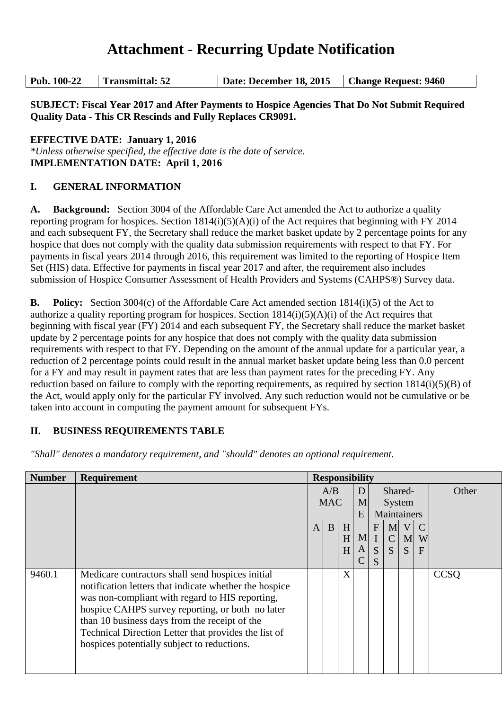# **Attachment - Recurring Update Notification**

| Pub. 100-22 | <b>Transmittal: 52</b> | Date: December 18, 2015   Change Request: 9460 |  |
|-------------|------------------------|------------------------------------------------|--|
|-------------|------------------------|------------------------------------------------|--|

**SUBJECT: Fiscal Year 2017 and After Payments to Hospice Agencies That Do Not Submit Required Quality Data - This CR Rescinds and Fully Replaces CR9091.**

**EFFECTIVE DATE: January 1, 2016**

*\*Unless otherwise specified, the effective date is the date of service.* **IMPLEMENTATION DATE: April 1, 2016**

#### **I. GENERAL INFORMATION**

**A. Background:** Section 3004 of the Affordable Care Act amended the Act to authorize a quality reporting program for hospices. Section 1814(i)(5)(A)(i) of the Act requires that beginning with FY 2014 and each subsequent FY, the Secretary shall reduce the market basket update by 2 percentage points for any hospice that does not comply with the quality data submission requirements with respect to that FY. For payments in fiscal years 2014 through 2016, this requirement was limited to the reporting of Hospice Item Set (HIS) data. Effective for payments in fiscal year 2017 and after, the requirement also includes submission of Hospice Consumer Assessment of Health Providers and Systems (CAHPS®) Survey data.

**B. Policy:** Section 3004(c) of the Affordable Care Act amended section 1814(i)(5) of the Act to authorize a quality reporting program for hospices. Section  $1814(i)(5)(A)(i)$  of the Act requires that beginning with fiscal year (FY) 2014 and each subsequent FY, the Secretary shall reduce the market basket update by 2 percentage points for any hospice that does not comply with the quality data submission requirements with respect to that FY. Depending on the amount of the annual update for a particular year, a reduction of 2 percentage points could result in the annual market basket update being less than 0.0 percent for a FY and may result in payment rates that are less than payment rates for the preceding FY. Any reduction based on failure to comply with the reporting requirements, as required by section  $1814(i)(5)(B)$  of the Act, would apply only for the particular FY involved. Any such reduction would not be cumulative or be taken into account in computing the payment amount for subsequent FYs.

#### **II. BUSINESS REQUIREMENTS TABLE**

| <b>Number</b> | <b>Requirement</b>                                                                                                                                                                                                                                                                                                                                                        |                   | <b>Responsibility</b> |             |        |                       |                        |                                   |                                    |             |  |  |  |  |  |  |  |  |  |  |  |  |  |  |  |  |  |  |  |  |  |  |             |  |  |  |                                  |  |       |
|---------------|---------------------------------------------------------------------------------------------------------------------------------------------------------------------------------------------------------------------------------------------------------------------------------------------------------------------------------------------------------------------------|-------------------|-----------------------|-------------|--------|-----------------------|------------------------|-----------------------------------|------------------------------------|-------------|--|--|--|--|--|--|--|--|--|--|--|--|--|--|--|--|--|--|--|--|--|--|-------------|--|--|--|----------------------------------|--|-------|
|               |                                                                                                                                                                                                                                                                                                                                                                           | A/B<br><b>MAC</b> |                       |             |        |                       |                        |                                   |                                    |             |  |  |  |  |  |  |  |  |  |  |  |  |  |  |  |  |  |  |  |  |  |  | D<br>M<br>E |  |  |  | Shared-<br>System<br>Maintainers |  | Other |
|               |                                                                                                                                                                                                                                                                                                                                                                           | $\mathbf{A}$      | B                     | H<br>H<br>H | M<br>A | $\mathbf F$<br>S<br>S | M<br>$\mathsf{C}$<br>S | $\overline{\mathsf{V}}$<br>M<br>S | $\mathcal{C}$<br>W<br>$\mathbf{F}$ |             |  |  |  |  |  |  |  |  |  |  |  |  |  |  |  |  |  |  |  |  |  |  |             |  |  |  |                                  |  |       |
| 9460.1        | Medicare contractors shall send hospices initial<br>notification letters that indicate whether the hospice<br>was non-compliant with regard to HIS reporting,<br>hospice CAHPS survey reporting, or both no later<br>than 10 business days from the receipt of the<br>Technical Direction Letter that provides the list of<br>hospices potentially subject to reductions. |                   |                       | X           |        |                       |                        |                                   |                                    | <b>CCSO</b> |  |  |  |  |  |  |  |  |  |  |  |  |  |  |  |  |  |  |  |  |  |  |             |  |  |  |                                  |  |       |

*"Shall" denotes a mandatory requirement, and "should" denotes an optional requirement.*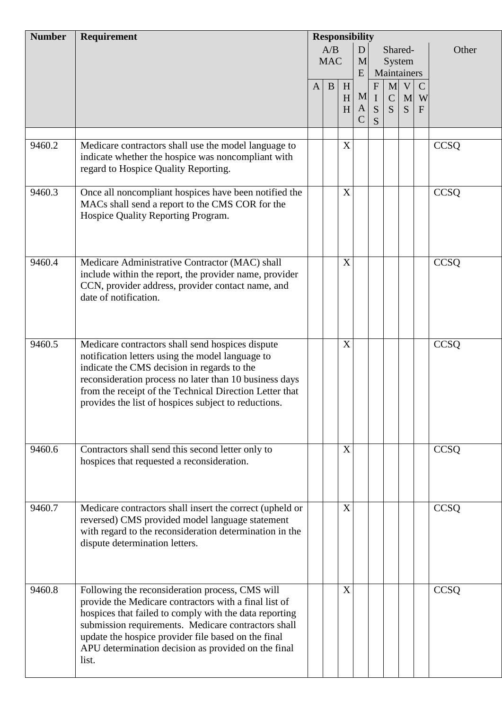| <b>Number</b> | Requirement                                                                                                                                                                                                                                                                                                                                      | <b>Responsibility</b>            |   |             |                          |                                       |                                    |                                  |                                    |             |
|---------------|--------------------------------------------------------------------------------------------------------------------------------------------------------------------------------------------------------------------------------------------------------------------------------------------------------------------------------------------------|----------------------------------|---|-------------|--------------------------|---------------------------------------|------------------------------------|----------------------------------|------------------------------------|-------------|
|               |                                                                                                                                                                                                                                                                                                                                                  | A/B<br>D<br><b>MAC</b><br>M<br>E |   |             |                          |                                       |                                    | Shared-<br>System<br>Maintainers |                                    | Other       |
|               |                                                                                                                                                                                                                                                                                                                                                  | $\mathbf{A}$                     | B | H<br>H<br>H | M<br>A<br>$\overline{C}$ | $\mathbf{F}$<br>$\mathbf I$<br>S<br>S | $\mathbf{M}$<br>$\mathcal{C}$<br>S | V<br>M<br>S                      | $\mathcal{C}$<br>W<br>$\mathbf{F}$ |             |
|               |                                                                                                                                                                                                                                                                                                                                                  |                                  |   |             |                          |                                       |                                    |                                  |                                    |             |
| 9460.2        | Medicare contractors shall use the model language to<br>indicate whether the hospice was noncompliant with<br>regard to Hospice Quality Reporting.                                                                                                                                                                                               |                                  |   | X           |                          |                                       |                                    |                                  |                                    | <b>CCSQ</b> |
| 9460.3        | Once all noncompliant hospices have been notified the<br>MACs shall send a report to the CMS COR for the<br>Hospice Quality Reporting Program.                                                                                                                                                                                                   |                                  |   | X           |                          |                                       |                                    |                                  |                                    | <b>CCSQ</b> |
| 9460.4        | Medicare Administrative Contractor (MAC) shall<br>include within the report, the provider name, provider<br>CCN, provider address, provider contact name, and<br>date of notification.                                                                                                                                                           |                                  |   | X           |                          |                                       |                                    |                                  |                                    | CCSQ        |
| 9460.5        | Medicare contractors shall send hospices dispute<br>notification letters using the model language to<br>indicate the CMS decision in regards to the<br>reconsideration process no later than 10 business days<br>from the receipt of the Technical Direction Letter that<br>provides the list of hospices subject to reductions.                 |                                  |   | X           |                          |                                       |                                    |                                  |                                    | <b>CCSQ</b> |
| 9460.6        | Contractors shall send this second letter only to<br>hospices that requested a reconsideration.                                                                                                                                                                                                                                                  |                                  |   | X           |                          |                                       |                                    |                                  |                                    | <b>CCSQ</b> |
| 9460.7        | Medicare contractors shall insert the correct (upheld or<br>reversed) CMS provided model language statement<br>with regard to the reconsideration determination in the<br>dispute determination letters.                                                                                                                                         |                                  |   | X           |                          |                                       |                                    |                                  |                                    | <b>CCSQ</b> |
| 9460.8        | Following the reconsideration process, CMS will<br>provide the Medicare contractors with a final list of<br>hospices that failed to comply with the data reporting<br>submission requirements. Medicare contractors shall<br>update the hospice provider file based on the final<br>APU determination decision as provided on the final<br>list. |                                  |   | X           |                          |                                       |                                    |                                  |                                    | CCSQ        |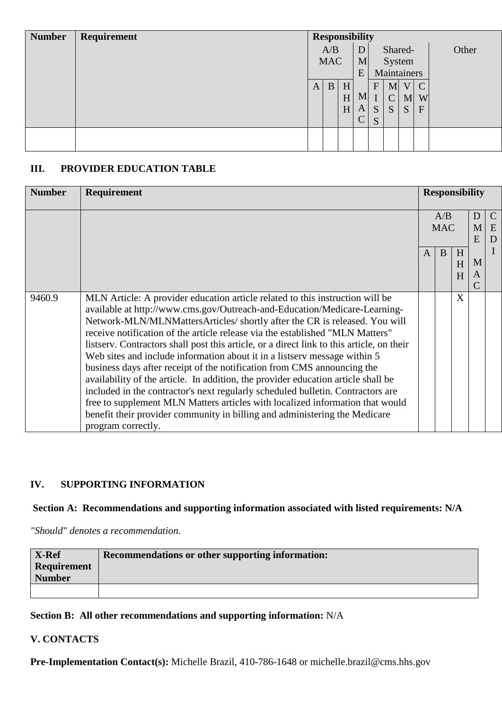| <b>Number</b> | Requirement | <b>Responsibility</b> |            |   |              |                          |               |             |               |       |  |
|---------------|-------------|-----------------------|------------|---|--------------|--------------------------|---------------|-------------|---------------|-------|--|
|               |             |                       | A/B<br>D   |   |              |                          |               | Shared-     |               | Other |  |
|               |             |                       | <b>MAC</b> |   |              | System<br>M <sub>l</sub> |               |             |               |       |  |
|               |             |                       |            |   | E            |                          |               | Maintainers |               |       |  |
|               |             | A                     | B          | H |              | $\mathbf{F}$             | M             | V           | $\mathcal{C}$ |       |  |
|               |             |                       |            | H | M            |                          | $\mathcal{C}$ | M           | W             |       |  |
|               |             |                       |            | H | A            | S                        | S             | S           | $\mathbf F$   |       |  |
|               |             |                       |            |   | $\mathsf{C}$ | S                        |               |             |               |       |  |
|               |             |                       |            |   |              |                          |               |             |               |       |  |
|               |             |                       |            |   |              |                          |               |             |               |       |  |

#### **III. PROVIDER EDUCATION TABLE**

| <b>Number</b> | Requirement                                                                                                                                                                                                                                                                                                                                                                                                                                                                                                                                                                                                                                                                                                                                                                                                                                                                                                                                 |   | <b>Responsibility</b> |             |             |                         |
|---------------|---------------------------------------------------------------------------------------------------------------------------------------------------------------------------------------------------------------------------------------------------------------------------------------------------------------------------------------------------------------------------------------------------------------------------------------------------------------------------------------------------------------------------------------------------------------------------------------------------------------------------------------------------------------------------------------------------------------------------------------------------------------------------------------------------------------------------------------------------------------------------------------------------------------------------------------------|---|-----------------------|-------------|-------------|-------------------------|
|               |                                                                                                                                                                                                                                                                                                                                                                                                                                                                                                                                                                                                                                                                                                                                                                                                                                                                                                                                             |   | A/B<br><b>MAC</b>     |             | D<br>M<br>E | $\mathcal{C}$<br>E<br>D |
|               |                                                                                                                                                                                                                                                                                                                                                                                                                                                                                                                                                                                                                                                                                                                                                                                                                                                                                                                                             | A | B                     | H<br>H<br>H | M<br>A<br>C | I                       |
| 9460.9        | MLN Article: A provider education article related to this instruction will be<br>available at http://www.cms.gov/Outreach-and-Education/Medicare-Learning-<br>Network-MLN/MLNMattersArticles/ shortly after the CR is released. You will<br>receive notification of the article release via the established "MLN Matters"<br>listserv. Contractors shall post this article, or a direct link to this article, on their<br>Web sites and include information about it in a listsery message within 5<br>business days after receipt of the notification from CMS announcing the<br>availability of the article. In addition, the provider education article shall be<br>included in the contractor's next regularly scheduled bulletin. Contractors are<br>free to supplement MLN Matters articles with localized information that would<br>benefit their provider community in billing and administering the Medicare<br>program correctly. |   |                       | X           |             |                         |

#### **IV. SUPPORTING INFORMATION**

#### **Section A: Recommendations and supporting information associated with listed requirements: N/A**

*"Should" denotes a recommendation.*

| X-Ref<br><b>Requirement</b><br><b>Number</b> | Recommendations or other supporting information: |
|----------------------------------------------|--------------------------------------------------|
|                                              |                                                  |

#### **Section B: All other recommendations and supporting information:** N/A

#### **V. CONTACTS**

**Pre-Implementation Contact(s):** Michelle Brazil, 410-786-1648 or michelle.brazil@cms.hhs.gov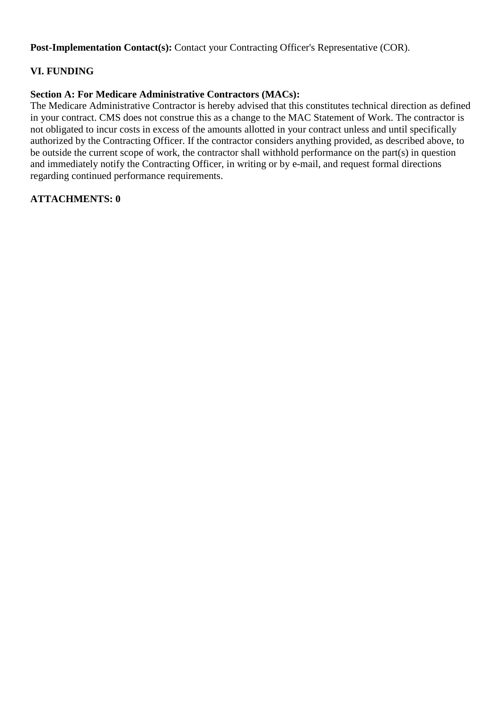Post-Implementation Contact(s): Contact your Contracting Officer's Representative (COR).

#### **VI. FUNDING**

#### **Section A: For Medicare Administrative Contractors (MACs):**

The Medicare Administrative Contractor is hereby advised that this constitutes technical direction as defined in your contract. CMS does not construe this as a change to the MAC Statement of Work. The contractor is not obligated to incur costs in excess of the amounts allotted in your contract unless and until specifically authorized by the Contracting Officer. If the contractor considers anything provided, as described above, to be outside the current scope of work, the contractor shall withhold performance on the part(s) in question and immediately notify the Contracting Officer, in writing or by e-mail, and request formal directions regarding continued performance requirements.

#### **ATTACHMENTS: 0**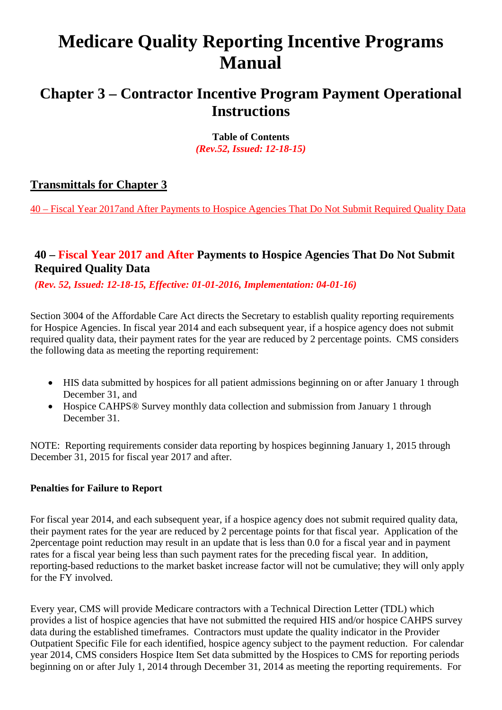# **Medicare Quality Reporting Incentive Programs Manual**

# **Chapter 3 – Contractor Incentive Program Payment Operational Instructions**

**Table of Contents** *(Rev.52, Issued: 12-18-15)*

## **Transmittals for Chapter 3**

40 – Fiscal Year 2017and After Payments to Hospice Agencies That Do Not Submit Required Quality Data

## **40 – Fiscal Year 2017 and After Payments to Hospice Agencies That Do Not Submit Required Quality Data**

*(Rev. 52, Issued: 12-18-15, Effective: 01-01-2016, Implementation: 04-01-16)*

Section 3004 of the Affordable Care Act directs the Secretary to establish quality reporting requirements for Hospice Agencies. In fiscal year 2014 and each subsequent year, if a hospice agency does not submit required quality data, their payment rates for the year are reduced by 2 percentage points. CMS considers the following data as meeting the reporting requirement:

- HIS data submitted by hospices for all patient admissions beginning on or after January 1 through December 31, and
- Hospice CAHPS<sup>®</sup> Survey monthly data collection and submission from January 1 through December 31.

NOTE: Reporting requirements consider data reporting by hospices beginning January 1, 2015 through December 31, 2015 for fiscal year 2017 and after.

#### **Penalties for Failure to Report**

For fiscal year 2014, and each subsequent year, if a hospice agency does not submit required quality data, their payment rates for the year are reduced by 2 percentage points for that fiscal year. Application of the 2percentage point reduction may result in an update that is less than 0.0 for a fiscal year and in payment rates for a fiscal year being less than such payment rates for the preceding fiscal year. In addition, reporting-based reductions to the market basket increase factor will not be cumulative; they will only apply for the FY involved.

Every year, CMS will provide Medicare contractors with a Technical Direction Letter (TDL) which provides a list of hospice agencies that have not submitted the required HIS and/or hospice CAHPS survey data during the established timeframes. Contractors must update the quality indicator in the Provider Outpatient Specific File for each identified, hospice agency subject to the payment reduction. For calendar year 2014, CMS considers Hospice Item Set data submitted by the Hospices to CMS for reporting periods beginning on or after July 1, 2014 through December 31, 2014 as meeting the reporting requirements. For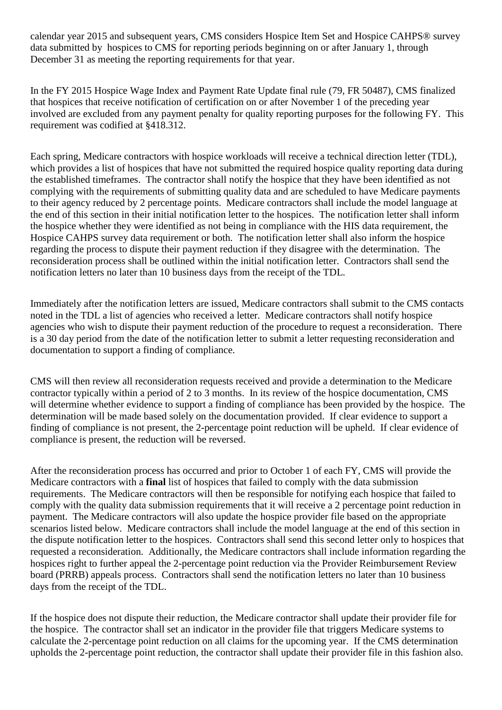calendar year 2015 and subsequent years, CMS considers Hospice Item Set and Hospice CAHPS® survey data submitted by hospices to CMS for reporting periods beginning on or after January 1, through December 31 as meeting the reporting requirements for that year.

In the FY 2015 Hospice Wage Index and Payment Rate Update final rule (79, FR 50487), CMS finalized that hospices that receive notification of certification on or after November 1 of the preceding year involved are excluded from any payment penalty for quality reporting purposes for the following FY. This requirement was codified at §418.312.

Each spring, Medicare contractors with hospice workloads will receive a technical direction letter (TDL), which provides a list of hospices that have not submitted the required hospice quality reporting data during the established timeframes. The contractor shall notify the hospice that they have been identified as not complying with the requirements of submitting quality data and are scheduled to have Medicare payments to their agency reduced by 2 percentage points. Medicare contractors shall include the model language at the end of this section in their initial notification letter to the hospices. The notification letter shall inform the hospice whether they were identified as not being in compliance with the HIS data requirement, the Hospice CAHPS survey data requirement or both. The notification letter shall also inform the hospice regarding the process to dispute their payment reduction if they disagree with the determination. The reconsideration process shall be outlined within the initial notification letter. Contractors shall send the notification letters no later than 10 business days from the receipt of the TDL.

Immediately after the notification letters are issued, Medicare contractors shall submit to the CMS contacts noted in the TDL a list of agencies who received a letter. Medicare contractors shall notify hospice agencies who wish to dispute their payment reduction of the procedure to request a reconsideration. There is a 30 day period from the date of the notification letter to submit a letter requesting reconsideration and documentation to support a finding of compliance.

CMS will then review all reconsideration requests received and provide a determination to the Medicare contractor typically within a period of 2 to 3 months. In its review of the hospice documentation, CMS will determine whether evidence to support a finding of compliance has been provided by the hospice. The determination will be made based solely on the documentation provided. If clear evidence to support a finding of compliance is not present, the 2-percentage point reduction will be upheld. If clear evidence of compliance is present, the reduction will be reversed.

After the reconsideration process has occurred and prior to October 1 of each FY, CMS will provide the Medicare contractors with a **final** list of hospices that failed to comply with the data submission requirements. The Medicare contractors will then be responsible for notifying each hospice that failed to comply with the quality data submission requirements that it will receive a 2 percentage point reduction in payment. The Medicare contractors will also update the hospice provider file based on the appropriate scenarios listed below. Medicare contractors shall include the model language at the end of this section in the dispute notification letter to the hospices. Contractors shall send this second letter only to hospices that requested a reconsideration. Additionally, the Medicare contractors shall include information regarding the hospices right to further appeal the 2-percentage point reduction via the Provider Reimbursement Review board (PRRB) appeals process. Contractors shall send the notification letters no later than 10 business days from the receipt of the TDL.

If the hospice does not dispute their reduction, the Medicare contractor shall update their provider file for the hospice. The contractor shall set an indicator in the provider file that triggers Medicare systems to calculate the 2-percentage point reduction on all claims for the upcoming year. If the CMS determination upholds the 2-percentage point reduction, the contractor shall update their provider file in this fashion also.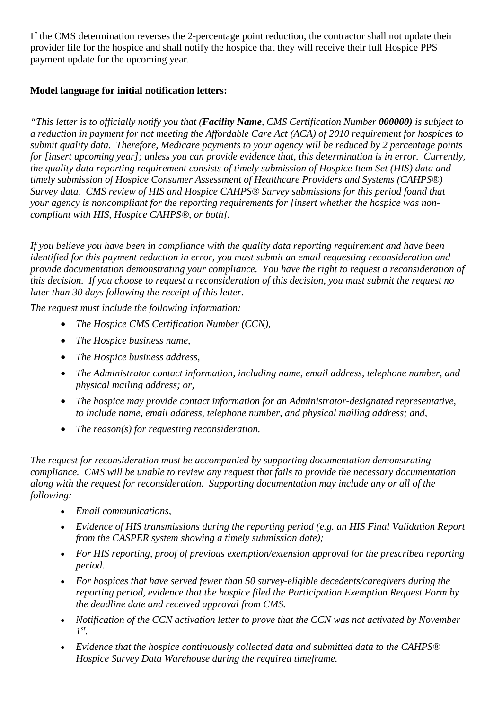If the CMS determination reverses the 2-percentage point reduction, the contractor shall not update their provider file for the hospice and shall notify the hospice that they will receive their full Hospice PPS payment update for the upcoming year.

#### **Model language for initial notification letters:**

*"This letter is to officially notify you that (Facility Name, CMS Certification Number 000000) is subject to a reduction in payment for not meeting the Affordable Care Act (ACA) of 2010 requirement for hospices to submit quality data. Therefore, Medicare payments to your agency will be reduced by 2 percentage points for [insert upcoming year]; unless you can provide evidence that, this determination is in error. Currently, the quality data reporting requirement consists of timely submission of Hospice Item Set (HIS) data and timely submission of Hospice Consumer Assessment of Healthcare Providers and Systems (CAHPS®) Survey data. CMS review of HIS and Hospice CAHPS® Survey submissions for this period found that your agency is noncompliant for the reporting requirements for [insert whether the hospice was noncompliant with HIS, Hospice CAHPS®, or both].* 

*If you believe you have been in compliance with the quality data reporting requirement and have been identified for this payment reduction in error, you must submit an email requesting reconsideration and provide documentation demonstrating your compliance. You have the right to request a reconsideration of this decision. If you choose to request a reconsideration of this decision, you must submit the request no later than 30 days following the receipt of this letter.* 

*The request must include the following information:*

- *The Hospice CMS Certification Number (CCN),*
- *The Hospice business name,*
- *The Hospice business address,*
- *The Administrator contact information, including name, email address, telephone number, and physical mailing address; or,*
- *The hospice may provide contact information for an Administrator-designated representative, to include name, email address, telephone number, and physical mailing address; and,*
- *The reason(s) for requesting reconsideration.*

*The request for reconsideration must be accompanied by supporting documentation demonstrating compliance. CMS will be unable to review any request that fails to provide the necessary documentation along with the request for reconsideration. Supporting documentation may include any or all of the following:*

- *Email communications,*
- *Evidence of HIS transmissions during the reporting period (e.g. an HIS Final Validation Report from the CASPER system showing a timely submission date);*
- *For HIS reporting, proof of previous exemption/extension approval for the prescribed reporting period.*
- *For hospices that have served fewer than 50 survey-eligible decedents/caregivers during the reporting period, evidence that the hospice filed the Participation Exemption Request Form by the deadline date and received approval from CMS.*
- *Notification of the CCN activation letter to prove that the CCN was not activated by November 1st.*
- *Evidence that the hospice continuously collected data and submitted data to the CAHPS® Hospice Survey Data Warehouse during the required timeframe.*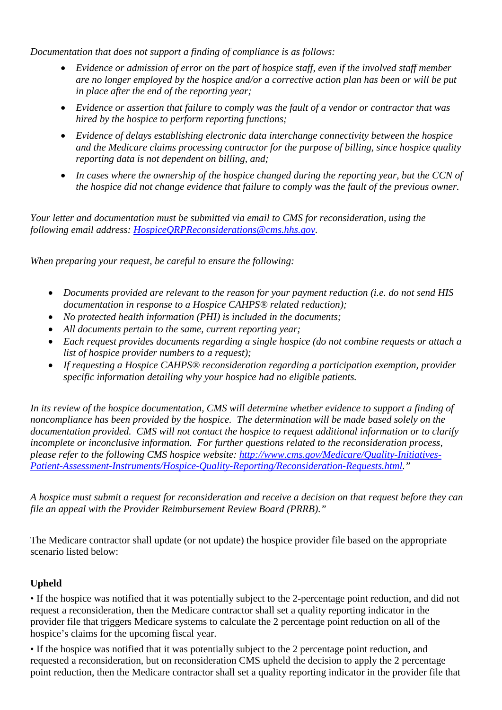*Documentation that does not support a finding of compliance is as follows:*

- *Evidence or admission of error on the part of hospice staff, even if the involved staff member are no longer employed by the hospice and/or a corrective action plan has been or will be put in place after the end of the reporting year;*
- *Evidence or assertion that failure to comply was the fault of a vendor or contractor that was hired by the hospice to perform reporting functions;*
- *Evidence of delays establishing electronic data interchange connectivity between the hospice and the Medicare claims processing contractor for the purpose of billing, since hospice quality reporting data is not dependent on billing, and;*
- *In cases where the ownership of the hospice changed during the reporting year, but the CCN of the hospice did not change evidence that failure to comply was the fault of the previous owner.*

*Your letter and documentation must be submitted via email to CMS for reconsideration, using the following email address: [HospiceQRPReconsiderations@cms.hhs.gov.](mailto:HospiceQRPReconsiderations@cms.hhs.gov)* 

*When preparing your request, be careful to ensure the following:*

- *Documents provided are relevant to the reason for your payment reduction (i.e. do not send HIS documentation in response to a Hospice CAHPS® related reduction);*
- *No protected health information (PHI) is included in the documents;*
- *All documents pertain to the same, current reporting year;*
- *Each request provides documents regarding a single hospice (do not combine requests or attach a list of hospice provider numbers to a request);*
- *If requesting a Hospice CAHPS® reconsideration regarding a participation exemption, provider specific information detailing why your hospice had no eligible patients.*

*In its review of the hospice documentation, CMS will determine whether evidence to support a finding of noncompliance has been provided by the hospice. The determination will be made based solely on the documentation provided. CMS will not contact the hospice to request additional information or to clarify incomplete or inconclusive information. For further questions related to the reconsideration process, please refer to the following CMS hospice website: [http://www.cms.gov/Medicare/Quality-Initiatives-](http://www.cms.gov/Medicare/Quality-Initiatives-Patient-Assessment-Instruments/Hospice-Quality-Reporting/Reconsideration-Requests.html)[Patient-Assessment-Instruments/Hospice-Quality-Reporting/Reconsideration-Requests.html.](http://www.cms.gov/Medicare/Quality-Initiatives-Patient-Assessment-Instruments/Hospice-Quality-Reporting/Reconsideration-Requests.html)"*

*A hospice must submit a request for reconsideration and receive a decision on that request before they can file an appeal with the Provider Reimbursement Review Board (PRRB)."*

The Medicare contractor shall update (or not update) the hospice provider file based on the appropriate scenario listed below:

#### **Upheld**

• If the hospice was notified that it was potentially subject to the 2-percentage point reduction, and did not request a reconsideration, then the Medicare contractor shall set a quality reporting indicator in the provider file that triggers Medicare systems to calculate the 2 percentage point reduction on all of the hospice's claims for the upcoming fiscal year.

• If the hospice was notified that it was potentially subject to the 2 percentage point reduction, and requested a reconsideration, but on reconsideration CMS upheld the decision to apply the 2 percentage point reduction, then the Medicare contractor shall set a quality reporting indicator in the provider file that